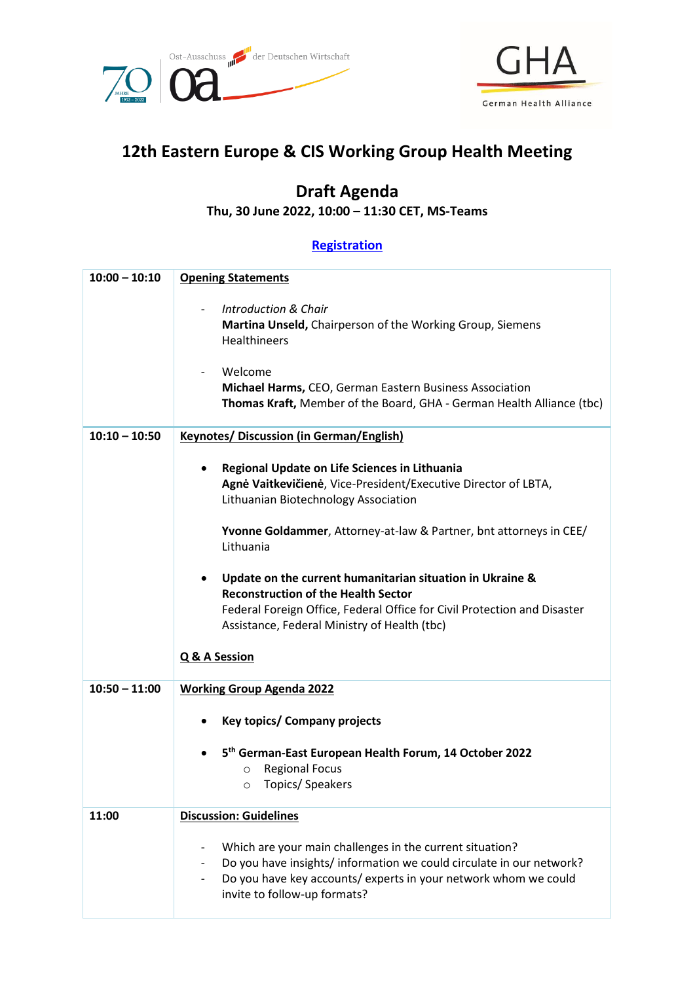



## **12th Eastern Europe & CIS Working Group Health Meeting**

## **Draft Agenda**

**Thu, 30 June 2022, 10:00 – 11:30 CET, MS-Teams**

## **[Registration](https://gha.health/event/11th-eastern-europe-cis-working-group-health-meeting-3-march-2022/)**

| $10:00 - 10:10$ | <b>Opening Statements</b>                                                                                                                                                                                                                        |
|-----------------|--------------------------------------------------------------------------------------------------------------------------------------------------------------------------------------------------------------------------------------------------|
|                 | <b>Introduction &amp; Chair</b><br>Martina Unseld, Chairperson of the Working Group, Siemens<br><b>Healthineers</b>                                                                                                                              |
|                 | Welcome<br>Michael Harms, CEO, German Eastern Business Association<br>Thomas Kraft, Member of the Board, GHA - German Health Alliance (tbc)                                                                                                      |
| $10:10 - 10:50$ | <b>Keynotes/ Discussion (in German/English)</b>                                                                                                                                                                                                  |
|                 | Regional Update on Life Sciences in Lithuania<br>٠<br>Agnė Vaitkevičienė, Vice-President/Executive Director of LBTA,<br>Lithuanian Biotechnology Association                                                                                     |
|                 | Yvonne Goldammer, Attorney-at-law & Partner, bnt attorneys in CEE/<br>Lithuania                                                                                                                                                                  |
|                 | Update on the current humanitarian situation in Ukraine &<br>$\bullet$<br><b>Reconstruction of the Health Sector</b><br>Federal Foreign Office, Federal Office for Civil Protection and Disaster<br>Assistance, Federal Ministry of Health (tbc) |
|                 | Q & A Session                                                                                                                                                                                                                                    |
| $10:50 - 11:00$ | <b>Working Group Agenda 2022</b>                                                                                                                                                                                                                 |
|                 | <b>Key topics/ Company projects</b>                                                                                                                                                                                                              |
|                 | 5 <sup>th</sup> German-East European Health Forum, 14 October 2022<br><b>Regional Focus</b><br>$\circ$<br>Topics/ Speakers<br>$\circ$                                                                                                            |
| 11:00           | <b>Discussion: Guidelines</b>                                                                                                                                                                                                                    |
|                 | Which are your main challenges in the current situation?<br>Do you have insights/ information we could circulate in our network?<br>Do you have key accounts/ experts in your network whom we could<br>invite to follow-up formats?              |